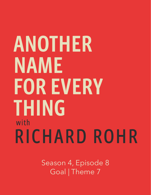## ANOTHER NAME **FOR EVERY THING** with RICHARD ROHR

Season 4, Episode 8 Goal | Theme 7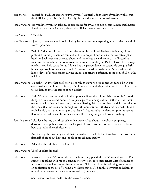- Brie Stoner: [music] So, Paul, apparently, you've arrived. [laughter] I don't know if you knew this, but I think Richard, in this episode, officially christened you as a non-dual master.
- Paul Swanson: Yes, you know you can take my course online for \$99.95 to also become a non-dual master. [laughter] No, I was flattered, elated, that Richard sees something in me.
- Brie Stoner: Oh, yeah.
- Paul Swanson: I just try to receive it and hold it lightly because I was not expecting him to offer such kind words upon me.
- Brie Stoner: Well, isn't that just, I mean that's just the example that I feel like he's offering us, of deep, profound humility where we can look at this concept of non-duality that we often get so heady and achievement-oriented about, or kind of equate with some sort of blissed-out state, and he translates it into incarnation, into it looks like you, Paul. It looks like the ways in which you hold space for us. It looks like the person down the street. He brings a fleshy, human approach to this tenet, which I'm going to read out right now: Non-duality is the highest level of consciousness. Divine union, not private perfection, is the goal of all healthy religion.
- Paul Swanson: We really lean into that perfection piece, which we've noticed comes up quite a bit in our conversations, and how that is not, this old model of achieving perfection is actually a barrier to our leaning into the stance of non-duality.
- Brie Stoner: Yeah. We also spent some time in this episode talking about how divine union isn't a static thing. It's not a one-and-done. It's not just a place you hang out, but rather, divine union seems to be inviting us into action, into manifesting. It's a part of that creativity on behalf of the whole that moves in and through us with momentum, with dynamism, which I found really helpful, so that it wasn't just this idea of, like, yes, take the elevator up to the seventh floor of non-duality, and from there, you will see everything and know everything.
- Paul Swanson: I also love the way that those values that we've talked about—simplicity, simplicity, devotion—and public virtue, are such a part of this. Those are not lost. Those are a lot of how this looks like with flesh on it.

 And then, gosh, I was so grateful that Richard offered a little bit of guidance for those in our first half of life about how one should approach non-duality.

- Brie Stoner: What does he call them? The four splits?
- Paul Swanson: The four splits. [music]
- Brie Stoner: It was so practical. We found them to be immensely practical, and it's something that I'm going to be taking with me as I continue to try to live into these tenets a little bit more as ways to see where I am cut off from the whole. Where am I not functioning from union or unification or the act of "oneing"? We hope that you'll find this conversation helpful in unpacking the seventh theme on non-duality. [music ends]

So, Richard, we have made it to the seventh theme.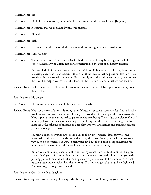Richard Rohr: Yep.

Brie Stoner: I feel like the seven-story mountain, like we just got to the pinnacle here. [laughter]

Richard Rohr: It is funny that we concluded with seven themes.

Brie Stoner: After all.

Richard Rohr: Yeah.

Brie Stoner: I'm going to read the seventh theme out loud just to begin our conversation today.

Richard Rohr: Sure. All right.

Brie Stoner: The seventh theme of the Alternative Orthodoxy is non-duality is the highest level of consciousness. Divine union, not private perfection, is the goal of all healthy religion.

> Paul and I kind of thought maybe you could kick us off, but we were thinking about instead of sharing a story as we have been with each of these themes that helps us put flesh on it, we wondered is there somebody in your life that really embodies this tenet for you, that pointed the way, that helped you see that this tenet can be true and can be actualized and realized?

- Richard Rohr: Yeah. There are actually a lot of them over the years, and you'll be happy to hear this; usually, they're Nines.
- Paul Swanson: My people.
- Brie Stoner: I knew you were special and holy for a reason. [laughter]
- Richard Rohr: Not that the rest of us can't learn it, but to Nines, it just comes naturally. It's like, yeah, why wouldn't you do that? It's your gift. It really is. I wonder if that's why in the Enneagram the Nine is put at the top as the archetypal simple human being. They refuse complexity if it isn't necessary. Now, there's a good meaning to complexity, but there's a bad meaning. The bad meaning is the splitting of an issue or a problem into two alternatives and thinking because you chose one you're smart.

 So, most Nines I've ever known, going back to the New Jerusalem days, they were the peacemakers, they were the resistors, and yet they did it consistently in such a non-showy way, such a non-pretentious way. In fact, you'd find out they'd been doing something for months and the rest of us didn't even know about it. It's really your gift.

 But do you want a single name? Well, one's sitting across from us. Paul Swanson. [laughter] He is. That's your gift. Everything I just said is true of you. You resist drama, and you resist pushing yourself forward, and that non-egocentricity allows you to be a kind of non-dual person a little more quickly than the rest of us. I'm not saying you're naturally enlightened. You have to go through growth and—

Paul Swanson: Oh, I know that. [laughter]

Richard Rohr: --growth and suffering like everybody else, largely in terms of purifying your motives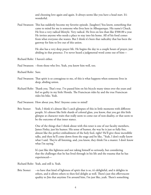and choosing love again and again. It always seems like you have a head start. It's wonderful.

Paul Swanson: This has suddenly become my favorite episode. [laughter] You know, something that came to mind for me is someone who lives here in Albuquerque. His name's Chuck. He lives a very radical lifestyle. Very radical. He lives on less than like \$500.00 a year. He invites anyone who needs a place to stay into his home. All of his food comes from what everyone else wastes. But I think it's been that radicality that has been the gateway for him to live out of this union.

> He also has a very deep prayer life. He begins the day in a couple hours of prayer, just abiding in that presence. I've never heard a judgmental word come out of him—

- Richard Rohr: I haven't either.
- Paul Swanson: --from those who live. Yeah, you know him well, too.
- Richard Rohr: Sure.
- Paul Swanson: That spirit is so contagious to me, of this is what happens when someone lives in deep, abiding union.
- Richard Rohr: Thank you. That's true. I've passed him on his bicycle many times over the years and feel so guilty in my little Honda. The Franciscan rides by and the true Franciscan rides his bike. Yeah.
- Paul Swanson: How about you, Brie? Anyone come to mind?
- Brie Stoner: Yeah, I think it's almost like I catch glimpses of this in little moments with different people. It's almost like little shards of colored glass, you know, that you get this little glimpse at character traits that really seem to come out of non-duality, or that seem to be the outcome of that inner stance.

 One of the things that I think about with this tenet is one of our faculty members, James Finley, just his humor. His sense of humor, the way he is just so fully free, almost like the perfect embodiment of the holy fool, right? He'll give these incredible talks, and then he'll come down from the stage and be like, "Yeah, I don't really know what I said. They're all listening, and, you know, they think I'm a master. I don't know what I'm saying."

 It's just like this lightness and not taking himself so seriously, but considering that the challenges that he has lived through in his life and the trauma that he has experienced—

Richard Rohr: Yeah, and still is. Yeah.

Brie Stoner: --to have that kind of lightness of spirit that is so, it's delightful, and it delights in others, and it allows others to then feel delight as well. There's just this effervescent quality to Jim that anytime I'm around him, I'm just like, yeah. There's something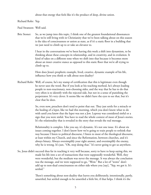about that energy that feels like it's the product of deep, divine union.

Richard Rohr: Yep.

Paul Swanson: Well said.

Brie Stoner: So, as we jump into this topic, I think one of the greatest foundational dissonances that we're still living with in Christianity that we've been talking about on this season is the idea of consciousness or union as state, as if it's a static floor in a building that we just need to climb up to or take an elevator to.

> I hear in the conversations we've been having this week a shift into dynamism, to be thinking about these concepts in relationship, and in creativity, and in evolution. It kind of takes on a different tone when we shift into that because it becomes more about an inner creative stance as opposed to this static floor that we're all trying to climb up to.

 How does Jesus's prophetic example, lived, creative, dynamic example of his life, influence how you think or talk about non-duality?

Richard Rohr: Well, of course, he's my stamp of certification that this is legitimate even though he never uses the word. But if you look at his teaching method, he's always leading people to non-reactionary, non-choosing sides, and the way that he has to do that very often is to identify with the rejected side, but not in a sense of punishing the perpetrator. It's very clever. It seems like we didn't have the eyes to see that, but it's clear that he does.

> So, even now, preachers don't tend to point that out. They just settle for a miracle or the healing of a leper, like we had this morning, which you don't know what to do with until you know that the leper was not a Jew. Leprosy was considered sinful or a sign that you were sinful. You have to read the whole context of most of Jesus's stories. It's the relationality that is revealed in the story that reveals the real message.

> Relationality is complex. Like you say, it's dynamic. It's not one issue. It's about six issues coming together. I don't know how we're going to train people to rethink that way because I listen to political discourse, I listen to most of the theological discourse, at least within my Church, and since the Reformation, between churches, and it's always binary. Always oversimplify your right answer, and oversimplify the enemy, why he is wrong. It's just, "Oh, stop doing that." It's never going to get us anywhere.

So, Jesus didn't succeed thus far in teaching it very well because, sorry to have to keep saying this, we made his life into a set of transactions that were supposedly wonderful. Well, they were wonderful, but the medium was never the message. It was always the conclusion was the message, and we were supposed to go, "Wow." But a lot of "wows" don't add up to non-dual consciousness on either side where you [say], "Yep, we got it. It's settled."

> There's something about non-duality that leaves you deliberately, intentionally, partly, unsettled, but settled enough to be unsettled a little bit, if that helps. I think it's the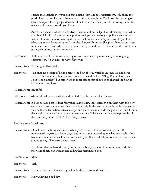change that changes everything, if that doesn't seem like an overstatement. I think it's the pearl of great price. It's our epistemology, or should have been. You know the meaning of epistemology. A lot of people don't, but I had to have a whole year of it in college, and it's a science of knowing how do you know.

 And so, we spend a whole year studying theories of knowledge. How do ideas get settled in your brain? I think it's almost unhelpful to teach people theology or political conclusions without forcing them, or inviting them, or teaching them what's your, how do you know what you know? Because you read it in the National Enquirer? [laughter] Because you heard it on television? That's where most of our country is, and much of the rest of the world. You just watch politics in most countries.

Brie Stoner: Well, it seems like what you're saying is that fundamentally non-duality is an ongoing epistemology. It's an ongoing way of knowing—

Richard Rohr: That's right. That's right.

Brie Stoner: --an ongoing posture of being open to the flow of love, which is uniting. We don't ever arrive. This isn't something that you can arrive in and be like, "Ding! I'm on floor seven. I got to non-duality," but rather, it's an inner stance that allows us to channel the flow of loving more deeply—

Richard Rohr: Beautiful.

- Brie Stoner: --in relationality to the whole and to God. That helps me a lot, Richard.
- Richard Rohr: It does because people don't feel you're laying a new ideological trip on them with this new clever word. You know something that might help in this conversation is, again, the master, Ken Wilber's, distinction between stages and states. So, you made the point that, and I think that's right, no one achieves it as a permanent state. Take what the Twelve-Step people call the confusing moments "HALTS": hunger, anger—

Paul Swanson: Loneliness.

Richard Rohr: --loneliness, tiredness, and stress. When you're in any of those five states, you will momentarily regress to a lower stage, but once you've touched upon what non-duality feels like or can achieve, you're forever fascinated by it. That's real helpful so none of us can walk around saying, "I'm permanently there."

> I'm always glad we have this story in the Gospels of Jesus sort of being an idiot with this poor Syrophoenician woman and calling her seemingly a dog.

Paul Swanson: Right.

Brie Stoner: Yeah.

- Richard Rohr: He must have been hungry, angry, lonely, tired, or stressed that day.
- Brie Stoner: He was having a bad day.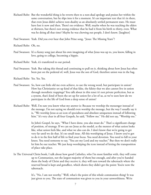- Richard Rohr: But the wonderful thing is he reverts then to a non-dual apology and praises her within the same conversation, but he slips into it for a moment. It's an important text that it's in there, that even Jesus didn't achieve non-duality as an absolutely settled permanent state. He must have lost it now and then. There's no evidence. Well, maybe when he was teaching the elders at thirteen, but there's not strong evidence that he had it from his birth to thirty, even. What was he doing all that time? Maybe he was chewing out people, I don't know. [laughter]
- Paul Swanson: Yeah. Did you ever hear that John Prine song, "Jesus: The Missing Years"?
- Richard Rohr: Oh, no.
- Paul Swanson: It's a funny song just about his own imagining of what Jesus was up to, you know, falling in love, going to college, becoming a hippie.

Richard Rohr: Yeah, it's transferred to our period.

- Paul Swanson: Yeah. But taking this thread and continuing to pull on it, thinking about how Jesus has often been put on the pedestal of, well, Jesus was the son of God, therefore union was in the bag.
- Richard Rohr: Yes. Yes. Yes.
- Paul Swanson: So, how can little old me even achieve, to use the wrong word, but participate in union? How has Christianity set up kind of that false, the falsity that we also cannot live in union through moralistic trappings? You talk about in this tenet it's not private perfection, but as a system, that's kind of been the set up for union for a lot of us, as we've seen how do we participate in the life of God from a deep sense of union?
- Richard Rohr: Well, I'm sure you know what my answer is: Because we worship the messenger instead of the message. I'm not saying we should even worship the message, but the way I usually say it is, "We worship Jesus as an icon of specialness and absolute uniqueness instead of following him." It's very clear in all four Gospels, he said, "Follow me." He did not say, "Worship me."

 In John's Gospel, he says, "What I have done, you also must do." That's a significant change of position, of strategy. If we can see Jesus as the model, as the mentor of what union looks like, what union feels like, and what we also can do. I don't know that we're going to get very far until we do that. It's no small issue. All this worshiping of Jesus. I know you've got to do it in the first half of life to find your focus. You need devotion. You need to fall to your knees. You need someone to say, "You are my Lord and my teacher." But then we don't really let him be our teacher. We just keep worshiping the icon instead of letting the transposition of place take place.

In The Universal Christ book, I talk about how good Catholics, who I'm most familiar with, they will come up to Communion, not the largest majority of them but enough, and after you've handed them the body of Christ and they receive it, they will turn toward the tabernacle where the reserved bread is kept and genuflect, which shows they didn't get the point: You're now the tabernacle.

> It's, "No, I am not worthy." Well, what's the point of this whole communion thing? It was just given to you. The state of communion was given to you in your unworthiness. We're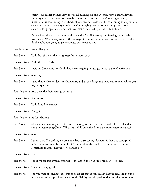back to our earlier themes, how they're all building on one another. Now I can walk with a dignity that I don't have to apologize for, or prove, or earn. That's our big message, that incarnation is continuing in the body of Christ, and we do that by continuing into symbolic elements. I admit they're symbolic. That's not saying they're not real and giving those elements for people to eat and then, you stand there with your dignity restored.

 But we keep them at the lower level where they're still fawning and fretting about their worthiness. What a way to miss the message. Of course, we're unworthy, but do you really think you're ever going to get to a place where you're not?

Paul Swanson: Right. [laughter]

Brie Stoner: Yeah. But that was the set-up trap for so many of us-

Richard Rohr: Yeah, the trap. Yeah.

Brie Stoner: --within Christianity, to think that we were going to just get to that place of perfection—

Richard Rohr: Someday.

- Brie Stoner: --and that we had to deny our humanity, and all the things that made us human, which gets to your question.
- Paul Swanson: And deny the divine image within us.

Richard Rohr: Within us.

Brie Stoner: Yeah. Like I remember—

Richard Rohr: You got it.

Paul Swanson: As foundational.

Brie Stoner: --I remember coming across this and thinking for the first time, could it be possible that I am also incarnating Christ? What? As me? Even with all my daily momentary mistakes?

Richard Rohr: Sure.

Brie Stoner: I think what I'm picking up on, and what you're saying, Richard, is that this concept of union, you just used the example of Communion, the Eucharist, for example. It's not something that just happens once and is done—

Richard Rohr: No. No.

Brie Stoner: --so if we use this dynamic principle, the act of union is "unioning," It's "oneing,"—

Richard Rohr: "Oneing," very good.

Brie Stoner: --to your use of "oneing," it seems to be an act that is continually happening. And picking up on some of our previous themes of the Trinity and the path of descent, that union results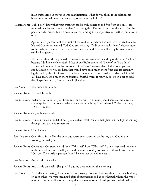in an outpouring. It moves us into manifestation. What do you think is the relationship between non-dual union and creativity or outpouring in love?

Richard Rohr: Well, I don't know that your creativity can be truly generous and free from ego unless it's founded in a deeper connection than "I'm doing this. I'm the dancer. I'm the artist. I'm the poet," which you are, but it's because you're standing in a deeper stream whether you know it or not.

> Again, Jung's phrase, "Called or not called, God is," which he had written over his doorway. Named God or not named God, God still is acting. God's action really doesn't depend upon us. It might be increased on us believing there is a God. God is still acting because you are still his living icon.

> That came about through a rather massive, unfortunate understanding of the word "believe" because I do know or have faith. Most of our Bibles translated "believe" or "have faith" as a mental exercise. If we had translated it as "trust," to trust that God is good, you are good, God is here, you are here, that would have born much more fruit, and it's certainly legitimated by the Greek word in the New Testament that we usually translate belief or faith [as] have trust. It's a much more dynamic, fruitful word. It really is. So, when I get to read the Gospel in church, I just change it. [laughter]

- Brie Stoner: The Rohr translation.
- Richard Rohr: I'm terrible. Yeah.
- Paul Swanson: Richard, not to butter your bread too much, but I'm thinking about some of the ways that you've spoken in this podcast where when we brought up The Universal Christ, you'd say, "Did I write that?"
- Richard Rohr: Oh, yeah, constantly.
- Paul Swanson: To me, it's such a model of how you are that vessel. You are that glass that the light is shining through, and that you sometimes—
- Richard Rohr: One. I'm one.
- Paul Swanson: One. Yeah. Sorry. Not the only, but you're even surprised by the way that God is also working through you.
- Richard Rohr: Constantly. Constantly. And I say, "Why me?" I do. "Why me?" I think he picked someone in this case of medium intelligence and medium morality so I couldn't think I earned it, or, "Oh, boy, I'm a little superman," and I believe that with all my heart.
- Paul Swanson: And a little bit smelly.
- Richard Rohr: And a little bit smelly. [laughter] I put my deodorant on this morning.
- Brie Stoner: I'm really appreciating, I know we've been saying this a lot, but how these tenets are building on each other. We were speaking before about personhood as one through whom the whole resounds. Seeing reality as one reality that is a system of relationships that is relational so that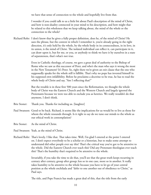we have that sense of connection to the whole and hopefully live from that.

 I wonder if you could talk to us a little bit about Paul's description of the mind of Christ, and how is non-duality connected in your mind to his description, and how might that be related to this wholeness that we keep talking about, the mind of the whole or the connection to the whole?

Richard Rohr: I don't know that he gives a fully proper definition, does he, of the mind of Christ? He uses the phrase, but the context in which I remember it, you're already going in the right direction, it's only held by the whole, by the whole body in its connectedness, in its love, in its union, is the mind of Christ. The isolated individual can reflect it, can participate in it, can draw upon it, but for me, or you, or anybody to think we have it by ourselves in a state of separateness, that's what's not true.

> Even in Catholic theology, of course, we gave a great deal of authority to the Bishop of Rome who we saw as this successor of Peter, and who's the man who says it wrong the most in the New Testament? It's Peter. So, right there we're given an exit clause that the one who supposedly speaks for the whole still is fallible. That's why no pope has invested himself in his supposed own infallibility. Before he proclaims a doctrine to be true, he has to read the whole body of Christ and say, "Am I reflecting that?"

 But the trouble is in these first 500 years since the Reformation, we thought the whole body of Christ was the Eastern Church and the Western Church and largely ignored the Protestants because we were too able to exclude you as heretics. We really wouldn't do that anymore, I don't think.

- Brie Stoner: Thank you. Thanks for including us. [laughter]
- Paul Swanson: Good to be back. Richard, it seems like the implications for us would be to live as those for whom the whole resounds through. Is it right to say do we tune our minds to the whole as our ethical work in contemplation?
- Brie Stoner: As the mind of Christ.
- Paul Swanson: Yeah, as the mind of Christ.
- Richard Rohr: That's lovely. I like that. That takes time. Well, I'm glad I entered at the point I entered on. I don't expect everybody to be a scholar or a historian, but to make some attempt to understand did other people ever say this? That's the critical way you've got to be attentive to the whole. Did the Eastern Church ever teach this? Did any Protestant theologian ever teach this? That's the humility that's required to be attentive to the whole.

 Invariably, if you take the time to do that, you'll see that the great truth keeps recurring in century after century, group after group; less so in one case, more so in another. It really takes humility to be attentive to the whole because you have to let go of your central position as the whole enchilada and "defer to one another out of obedience to Christ," as Paul says.

The title, and Pope Francis has made a great deal of this, that the title from the early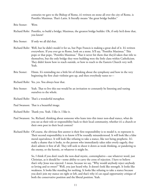centuries we gave to the Bishop of Rome, it's written on stone all over the city of Rome, is Pontifex Maximus. That's Latin. It literally means "the great bridge builder."

Brie Stoner: Wow.

- Richard Rohr: Pontifex, to build a bridge; Maximus, the greatest bridge builder. Oh, if only he'd done that, you know!
- Brie Stoner: If only we all did that.
- Richard Rohr: Well, but he didn't model it for us, but Pope Francis is making a great deal of it. It's written everywhere. If you ever go to Rome, look on a stone. It'll say, "Pontifex Maximus." This pope or that pope, "Pontifex Maximus." That it never hit them that they'd taken that title to themselves, but the only bridge they were building were the little clans within Catholicism. They didn't know how to reach outside, or how to reach to the Eastern Church very well. Yeah.
- Brie Stoner: Hmm. It's reminding me a little bit of thinking about the symphony and how in the very beginning the first chair violinist gets up, and then everybody tunes to—
- Richard Rohr: Yes, yes. You always hear that.
- Brie Stoner: Yeah. That to live this out would be an invitation to constantly be listening and tuning ourselves to the whole.
- Richard Rohr: That's a wonderful metaphor.
- Paul Swanson: That is a beautiful image.
- Richard Rohr: Thank you. Yeah. I like it. I like it.
- Paul Swanson: So, Richard, thinking about someone who leans into this inner non-dual stance, what do you see as their role or responsibility back to their local community, whether it's a church or their own post in their local context?
- Richard Rohr: Of course, the obvious first answer is their first responsibility is to model it, to represent it. Their second responsibility is to know it'll be roundly misunderstood. It will look like a false moral equivalence. It will look like refusing to take a stance, like not being prophetic. It's really a shame that it looks, to the person who immediately takes sides overly eagerly, they don't admire it first of all. They will seek to shoot it down as weak thinking, or pandering to the enemy, or the heretic, or whatever it might be.

 So, I think if you don't teach the non-dual mystic, contemplative—use whatever word, just Christian, as it should be—some ability to carry the cross of rejection. I have to believe that's why Jesus was rejected. I mean, because we say, "Why would anybody reject anybody so loving and so sweet?" Well, you just heard why. It doesn't look like strength. It looks like weakness. It looks like standing for nothing. It looks like refusing to take a stance because you don't join my stance on right or left, and that's why it's an equal opportunity critique of both the conservative position and the liberal position. Yeah.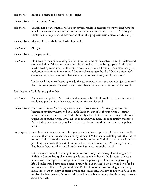Brie Stoner: But it also seems to be prophetic, too, right?

Richard Rohr: Oh, go ahead. Please.

Brie Stoner: That it's not a stance that, as we've been saying, results in passivity where we don't have the moral courage to stand up and speak out for those who are being oppressed. And so, your whole life in a way, Richard, has been so about this prophetic action piece, which is why—

Richard Rohr: Maybe. Not my whole life. Little pieces of it.

- Brie Stoner: All right.
- Richard Rohr: Little pieces of it.
- Brie Stoner: --but even in the desire to bring "action" into the name of the center, Center for Action and Contemplation. Where do you see the role of prophetic action being a part of this tenet or maybe needing to be a part of this tenet? Because even when I read divine union, not private perfection, sometimes in my mind, I find myself wanting to be like, "Divine union that's embodied in prophetic action. Divine union that is manifesting prophetic action."

 You know, I find myself wanting to add the action piece almost as a reminder just to myself that this isn't a private, internal stance. That it has a bearing on our actions in the world.

- Paul Swanson: Yeah. It has a public face.
- Brie Stoner: Yes. It was that public—So, what would you say is the role of prophetic action, and where would you put that into this tenet, or is it in this tenet for you?
- Richard Rohr: You know, Thomas Merton says in one place, if your virtue-- I'm giving my own words because of my faulty memory, but I think this is the gist of it: If your virtue is entirely private, individual, inner virtue, which is mostly what all of us have been taught. We weren't taught about public virtue. It was all I'm individually humble. I'm individually charitable. We ended up not being very well able to do that because we didn't move it to the public forum.
- But, anyway, back to Merton's understanding. He says that's altogether too private if it never has a public face, and that's what secularism is dealing with, and Millennials are dealing with that they're sort of afraid to show their cards. I admit certainly old-time Catholics and Evangelicals didn't just show their cards, they sort of pummeled you with their answers. We can't go back to that, but is there any place, and I think there has to be, for public virtue?

 Let me give an example that might not please everybody, but I always have thought that if Hillary Clinton had spoken more openly and calmly of her Methodist faith, showed a more nuanced bridge-building opinion between supposed pro-choice and supposed prolife, I bet she would have been elected. I really do. But she ended up allowing herself to be seen as a secular liberal. Do you understand? She didn't know how to bring, that's pretty much Protestant theology. It didn't develop the secular city, and how to live with faith in the secular city. Not that we Catholics did it much better, but we at least had it on paper that we should do that.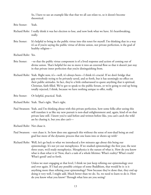So, I have to use an example like that that we all can relate to, so it doesn't become theoretical.

- Brie Stoner: Yeah.
- Richard Rohr: I really think it was her election to lose, and now look what we have. It's heartbreaking, really.
- Brie Stoner: It's helpful to bring in the public virtue into this tenet for myself. I'm thinking that in a way it's as if you're saying the public virtue of divine union, not private perfection, is the goal of healthy religion—
- Richard Rohr: Yes.
- Brie Stoner: --so that the public virtue component is of a lived response and action of coming out of divine union. That's helpful for me to move it into an external flow so that it doesn't just stay in that private inner perfection that you're distinguishing from.
- Richard Rohr: Yeah. Right now, it's—well, it's always been—I think it's crucial. If we don't bridge that gap everybody trying to be privately saved, and so forth, but it has seemingly no effect on their public attitudes. In fact, they're a little embarrassed to quote anything that is spiritual, Christian, faith filled. We've got to speak to the public forum, or we're going to end up being totally rejected, I think, because we have nothing unique to offer, really.
- Brie Stoner: Or helpful, practical. Yeah.
- Richard Rohr: Yeah. That's right. That's right.
- Paul Swanson: Yeah, and I'm thinking about with this private perfection, how some folks after seeing this will translate it as like my new pursuit is non-dual enlightenment and, again, kind of on that private lane still. I know you've said before and written before like, you can't catch the wild ass by chasing it, but you also can't—
- Richard Rohr: Not chase it.
- Paul Swanson: --not chase it. So how does one approach this without the sense of non-dual being an end goal but more of the dynamic process that one leans into or shows up with?
- Richard Rohr: Well, let's go back to what we introduced a few minutes ago about this being our epistemology. It's not yet our metaphysics. If we studied epistemology the first year, the next three years, we'd study metaphysics. Metaphysics is the nature of what is. How do you know what is than what it is? Now, that's a task of a whole lifetime: What's reality? What's truth? What's good? and so forth.

 Unless we start engaging at that level, I think we just keep refining our epistemology over and over again. If I had any possible critique of some Buddhism, that would be it: is it anything more than refining your epistemology? Now because they've done that, they end up doing it very well, I might add. Much better than we do. So, we need to learn to do it. How do you know what you know? Through what lens are you seeing?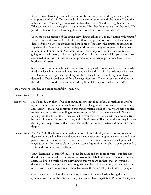We Christians have to get started more seriously on that path, but the goal is finally to exemplify a unified life. The most radical statement of union is with the divine, "I and the father are one." You can't get more radical than that. Then, "I and the neighbor are one. Whatever you do to the neighbor, you do to me." But then Jesus pushes it to the limit, "Not just the neighbor, but the least neighbor: the least of the brothers and sisters."

 Then, the whole message of the divine indwelling is calling you to trust union with yourself. I don't know which comes first. I think it differs from person to person, but I know some degree of union has to be experienced here in me before I have the courage to imagine it anywhere else. Before I can honor the Big Spirit in trees and grasshoppers, I-- Union sees union; union honors union. So, I don't know what bridge you're going to take. You're going to start with God, make the big leap. It's usually pretty superficial if you haven't first celebrated union with at least one other person, or one grasshopper, or one least of the brothers and sisters.

 So, the more common path that I would trust is people who do human love well are ready for divine love, but there are, I have met people who early in life, like little kids who their First Communion is just a magical day for them. They believe it, and they never have doubted it. They floated around for a few days afterwards. They almost start with God, and then they try to love the other unions little by little. Did I speak to what you said?

Paul Swanson: You did. You did it beautifully. Thank you.

Richard Rohr: Thank you.

- Brie Stoner: So, if non-duality then, if we shift our mindset to not think of it as something that we're trying to get to, but rather to see it as how love is changing the lens that we have for reality and ourselves, that as we continue in this transformative work of love, we are being unified to that one reality. We are healing ourselves from the fallacy of the separate self. We are moving into the flow of the Trinity, so that in essence, all of these tenets then become true because it is about this flow, and trust, and path of descent. That this entire journey is one of shifting how we perceive so that we can join in the flow of love better, and more, and more deeply.
- Richard Rohr: Yes. Yes. Yeah. Really, to be seemingly simplistic, I don't think you can love without some degree of non-duality. How could you unless you overcome the split between you and your partner, you and the other? All of our issues, all of our issues—political, social, personal, religious-wise—for their resolution demand some degree of non-duality to overcome unfair, artificial dichotomies and dualisms.

You've heard me say this. Of course, I love language and the roots of words, but diabolos dia, through; bolos, ballein, means to throw—so the diabolical is when things are thrown apart. We live in a world where everything is thrown apart. In that sense, everything is diabolical unless some people come along who reunite it, in their mind, in their heart, and say, "Those two are not separate—those two races, those two religions, those two people."

 Gee, you could take all of the sacraments, all seven of them. Marriage being the most symbolic, you know, "You are not two, you are one." Don't separate it. Penance, saying you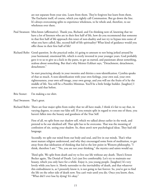are not separate from your sins. Learn from them. They're forgiven but learn from them. The Eucharist itself, of course, which you rightly call Communion. But go down the line. It's always overcoming splits to experience wholeness, to be whole and, therefore, to see wholeness over there.

- Paul Swanson: Mm-hmm (affirmative). Thank you, Richard, and I'm thinking now of, knowing that we have a lot of listeners who are in their first half of life, how do you recommend that someone in that first half of life approach this tenet of non-duality and not try to bypass into some of what you have called, like, second-half-of-life spirituality? What kind of guidance would you offer those in their first half of life?
- Richard Rohr: Good question. In the practical order, it's going to amount to not being jerked around by your hormonal, emotional life, which is overly invested in your younger years. God probably gave it to us to give us a kick in the pants, to get us started, and passionate about something, zealous about something. But that's why Meister Eckhart says, "Detachment, detachment, detachment."

 So start practicing already in your twenties and thirties a non-identification. Cynthia speaks of that so much. A non-identification with your own feelings, your own zeal, your own righteousness, your own self-image, your own group, and you will see the fruits of it by the middle of life. You will be a Pontifex Minimus. You'll be a little bridge builder. [laughter] I never said that before.

- Brie Stoner: I'm making a tee shirt.
- Paul Swanson: That's great.
- Richard Rohr: There are four major splits from reality that we all have made, I think it's fair to say that, in varying degrees, to create our false self. If you remain split in regard to even one of these, you haven't fallen into the beauty and goodness of the True Self.

 First of all, we split from our shadow self, which we talked about earlier in the week, and pretend to be our idealized self. That split has to be overcome. That was the meaning of confession of sin. seeing your shadow. So, these aren't new psychological ideas. They had old language.

 Secondly, we split our mind from our body and soul, and live in our minds. That's what most mature religion understood, and why they encouraged some form of meditation, to get away from that idolization of thinking that led to the low point in Western philosophy, "I think, therefore I am." "No, you are not your thinking," the mystics and saints would say.

 Third split. We split from death and try to live our life without any death. There's Ernest Becker again, The Denial of Death. Let's just live comfortably. Let's try to maintain our beauty, which you only have for a while. Enjoy it, you young people. [laughter] It's very lovely while you have it. Slowly surrender to the inevitability of death, and that whatever this embodiment is, as I presently know it, is not going to last forever. So, you've got to find the life on the other side of death now. You can't wait until you die. Once you know, then, "What did I ever lose by dying? It's okay."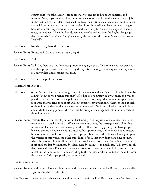Fourth split. We split ourselves from other selves, and try to live apart, superior, and separate. Now, if you achieve all of those, which a lot of people do, that's almost their job in the first half of life—deny their shadow, deny their intimate connection with other races and religions or people, run from death—it's almost impossible to have authentic religion because you can't experience union with God at any depth. You can be religious in some sense, but you won't be holy. And do remember we're real lucky in the English language that the words "whole" and "holy" are clearly the same word. Now, in Spanish, too, santo is "healed"?

Brie Stoner: Sanidad. They have the same root.

Richard Rohr: Roots, yeah. Sanidad means healed, right?

Brie Stoner: Yeah.

- Richard Rohr: Yeah. So, there was this deep recognition in language, yeah. I like to make it that explicit, and then people know we're not talking theory. We're talking about very real journeys, very real surrenders, and recognitions. Yeah.
- Brie Stoner: That's so helpful because—

Richard Rohr: It is. It is.

- Brie Stoner: --as we've been journeying through each of these tenets and wanting to end each of them by asking, "How do we practice this one?" I feel like you've already in a way given us a way to practice his tenet because you're pointing us to these four ways that we tend to split, these four ways that we tend to split off and split apart, to pay attention to them, to look at each of those four tendencies that we have, and to move with God into a healing and wholeness and a whole-making process where we can be brought back together into union in each of those four ways.
- Richard Rohr: Perfect. Thank you. Thank you for understanding. Nothing satisfies me more. It's always toss and catch, pitch and catch. When someone catches it, the message is real. Until that incarnation happens, it's just hanging out there. That's been my great gift to have people like you around who, wow, not just catch it, but appreciate it, and to know why it matters because a lot of people don't. They're good people, but this is when Jesus talks caught up in the worries of this world, the other three kinds of soil, that they don't have time to know why this matters, often until the end of life, hospice workers tell me. Sometimes, they put it off until the last five months, five days, even five minutes, to finally say, "Oh, my God, all that mattered. Now, I'm going to surrender to union. I have no other choice except to put myself in the hands of love," and according to the hospice workers I've talked to, and I mean this, they say, "Most people do, at the very end."

Paul Swanson: Wow.

Richard Rohr: Good to hear. Hope so. But they could have had a much happier life if they'd done it earlier. I got to complain a little bit.

Paul Swanson: I mean that's such a great invitation for us in the first half of life to begin now. So, thank you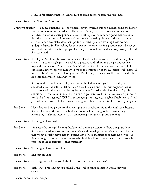so much for offering that. Should we turn to some questions from the voicemails?

Richard Rohr: Yes. Please do. Please do.

- Unknown Speaker: So, my question relates to principle seven, which is our non-duality being the highest level of consciousness, and what I'd like to ask, Father, is can you possibly cast a vision for what you see as a correspondent, creative orthopraxy for common good that relates to this Alternate Orthodoxy? So many of the models created by church worlds still maintain a vertical or an acceptable dominant posture of privilege when assisting those deemed underprivileged. So, I'm looking for your creative or prophetic imagination around what you see as a democratic society of people that really are more horizontal, are truly living with and for each other?
- Richard Rohr: Thank you. You know because non-duality—I and the Father are one; I and the neighbor are one—is such a high goal, you ask for a practice. and I think that's right on, you have to practice acting as if. At the beginning, it'll almost feel like pretending. It won't feel like experiential knowledge yet. Like when we go to communion at the Eucharist. Well, okay, I'll receive this. It's a nice little blessing for me. But it really takes a whole lifetime to gradually sink into the level of cellular knowledge.

 So, my advice would be act as if you're one with God. Act as if you're one with yourself, and don't allow the splits to define you. Act as if you are one with your neighbor. Act as if you are one with the trees and the sky because most Christians think of that as Paganism or animism, we used to call it. So, they're afraid to go there. Well, I mean we created put-down words like "tree-hugging." Well, I'm encouraging tree-hugging. [laughter] Yeah. Act as if, and you will soon know as if, that it wasn't wrong to embrace this beautiful tree, or anything else.

- Brie Stoner: I love that she brought up prophetic imagination in relationship to this final tenet because it seems like what this whole path of kenosis, of self-emptying, of love manifesting, incarnating, is also its intention with unknowing, and unsaying, and undoing—
- Richard Rohr: That's right. That's right.
- Brie Stoner: --in a way the unhelpful, and unhealthy, and dominant systems of how things are done. So, there's a tension between that unknowing and unsaying, and moving into emptiness so that we can actually move into the potentiality of God manifesting something new in our time, through us, as us, that we can't-- Who is it? Is it Einstein who says that we can't solve a problem at the consciousness that created it?
- Richard Rohr: That's right. That's a great line.
- Brie Stoner: Isn't that amazing?
- Richard Rohr: Oh, it's great. Did I let you finish it because they should hear that?
- Brie Stoner: Yeah. That "problems can't be solved at the level of consciousness in which they were created."
- Richard Rohr: There you go.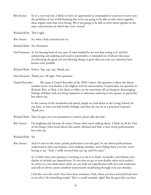Brie Stoner: So in a very real way, I think we have an opportunity as contemplative creatives to move into the problems of our world knowing that we're not going to be able to solve them together, these urgent crises that we're facing. We're not going to be able to solve them together at the same consciousness at which they were created.

Richard Rohr: That's right.

Brie Stoner: So, what a holy invitation for us.

Richard Rohr: Yes. Invitation.

Paul Swanson: As I'm hearing both of you, part of what landed for me was that acting as if, and this unknowing and undoing and creative potentiality, it reminded me of almost this sense of cultivating the good soil and allowing things to grow that you may not otherwise have known were possible.

Richard Rohr: Perfect. Yep, yep, yep. Thank you.

Paul Swanson: Thank you. All right. Next question.

Daniel Kwenshe: My name is Daniel Kwenshe of the 2020 Cohort. My question is about the theme number seven: non-duality is the highest level of consciousness. In particular, my question to Richard, Brie, or Paul, is for them to reflect on my sometimes all too frequent discouraging feelings of failure with my being impatient or otherwise unloving to my spouse, in particular, but others too.

> In the context of the wonderful and saintly people we read about in the Living School, do you have, or have you had similar feelings, and what do you do as a practiced response? Thank you.

- Richard Rohr: Since he gave you two permission to answer, please take the lead.
- Brie Stoner: I'm laughing only because of course I know what you're talking about. I think we all do. One of the things I have loved about this season, Richard and Paul, is how much perfectionism has come up.

Richard Rohr: Yes.

Brie Stoner: And it's even in this tenet: private perfection is not the goal. It's not about perfectionism, understood as that non-human, never making mistakes, never failing those you love, never having to say, "Yeah, I really screwed that one up, and I'm sorry."

> So, I think what your question is inviting us to do is re-think, reconsider, and reframe nonduality to include our imperfection. It's not that we get to non-duality when we're perfect, we arrive in a non-dual stance when we can hold our imperfection with love and tenderness and still see divine union somehow mysteriously manifesting through even our mistakes.

 I feel like even this week, there have been moments, Paul, where you have mirrored back love to me after I do something stupid. This is a small example, right? But the gaze that you have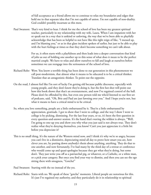of full acceptance as a friend allows me to continue to relax my boundaries and edges that hold me in that separate idea that I'm not capable of union. I'm not capable of non-duality. God couldn't possibly incarnate as this mess.

Paul Swanson: That's very kind to hear. I think for me the school of love has been my greatest spiritual teacher, particularly in my relationship with my wife, Laura. When I am impatient with her or speak out in a way that is unkind or unloving, the way that we've been able to playfully acknowledge that has been so helpful to not have like this tight reign of like, "I messed up, and I'm blaming you," or as in that glass incident spoken of earlier, but just to be able to play with the hurt feelings at times so that they don't become something we can't talk about.

> For us, it often starts with a playfulness and then leads into a deeper conversation that kind of jolts us out of holding one another up to this sense of what does it mean to be the perfect married couple. We have to relax and allow ourselves to fall and laugh at ourselves before sometimes we can reengage into the seriousness of the school of love.

- Richard Rohr: Wow. You know a terrible thing has been done to our generation in this phenomenon we call post-modernism, that almost what it means to be educated is to be a critical thinker. Translate that an antagonistic thinker. To point out the opposite.
- On the road, I almost feel like I'm sort of lucky I'm getting old because public discourse, especially with young people, and they don't know they're doing it, but the first hot shot will point out how this book shows that that's an overstatement, and now I've regained control of the ball. Please don't be offended by this, but even one person told me who'd listened to our first set of podcasts, said, "Oh, Brie and Paul are just fawning over you." And I hope you're not, but what it means to have a critical mind is to be critical.
- So, when you love something, people are a little embarrassed by it. They're a little embarrassed by appreciation, gratitude. I got to show that I went to college, and the way I show I went to college is by picking, dismissing. For the last four years, or so, it's been the first question in every question-and-answer session. It's the hand that's waving the wildest is always, "Well, I'm going to one-up you and show you why what you just said is not always true. They don't realize what they're denying themselves, you know? Can't you just appreciate it a little bit before you depreciate it?
- This is no small thing. It's the nature of the Western mind now, and I think it's why we're so angry, because you can't live in a dismissive, depreciating mind all day to prove how smart you are, how clever you are, by putting down anybody's thesis about anything, anything. They do that to one another, and now fortunately, I've had many by the third day of a retreat or conference who would come up and quasi-apologize because they get what they're doing, but some don't. They just write you off as a patriarchal pig, or whatever, or a Catholic, or a white man, or a pick your category. But once you find your way to dismiss, and then you can see the ego sitting there with smugness, "Gotcha!"

Paul Swanson: Starting with the no instead of the yes.

Richard Rohr: Starts with no. We speak of these "gotcha" moments. Liberal people are notorious for this. It's just I've regained my authority, and they particularly do it in relationship to spiritual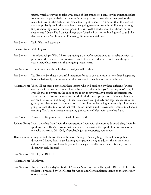truths, which are trying to take away some of that smugness. I can see why initiation rights were necessary, particularly for the male in history because that's the normal path of the male, but now it's the path of the female too, "I got to show I'm smarter than the teacher," and you probably are in this case, but you're going to end up very dumb if you go through life just shooting down every new possibility as, "Well, I read a book that shows that isn't always true." Okay. Did I say it's always true? Usually, I try not to, but I guess I sound like that sometimes. You hear what I'm saying. It's monumental now.

Brie Stoner: Yeah. Well, and especially—

Richard Rohr: It's killing us.

- Brie Stoner: --in relationships. What I hear you saying is that we're conditioned to, in relationships, to pick each other apart, to not forgive, to kind of have a tendency to hold these things over each other, which results in that ongoing separateness.
- Paul Swanson: To not overcome the split that we had just talked about.
- Brie Stoner: Yes. Exactly. So, that's a beautiful invitation for us to pay attention to how that's happening in our relationships and move toward wholeness in ourselves and with each other.
- Richard Rohr: Then, I'll get these people and these letters, who will preface it by three different, "Please correct me if I'm wrong. I might have misunderstood you, but you're not saying--" They'll even do that in private on the edge of the room to save you any possible embarrassment. I don't want to dismiss the need for a critical mind. I need people to criticize me, but you can see the two ways of doing it. One, I've exposed you publicly and regained status in the group; the other, eager to maintain both of our dignities by saying it personally. How are we going to teach this to a world that really doesn't understand it anymore? Because it's all about winning. That's the American remaining philosophy of life: I win, therefore I am.
- Brie Stoner: Power over. It's power over, instead of power with.
- Richard Rohr: I win, therefore I am. I win the conversation. I win with the more rude vocabulary. I win by speaking loud. They've proven that in studies. The senator that speaks loud is taken as the one who has truth. Oh, God, it's probably just the opposite, you know?
- Thank you for letting me tack this on the end because it's huge. It's really huge, The failure of public discourse. I know, Brie, you're helping other people trying to address this in American culture. I hope we can. How do you unlearn aggressive discourse, which is really violent discourse? Yeah. [music]
- Paul Swanson: Thank you, Richard.
- Richard Rohr: Thank you.
- Paul Swanson: And that's it for today's episode of Another Name for Every Thing with Richard Rohr. This podcast is produced by The Center for Action and Contemplation thanks to the generosity of our donors.